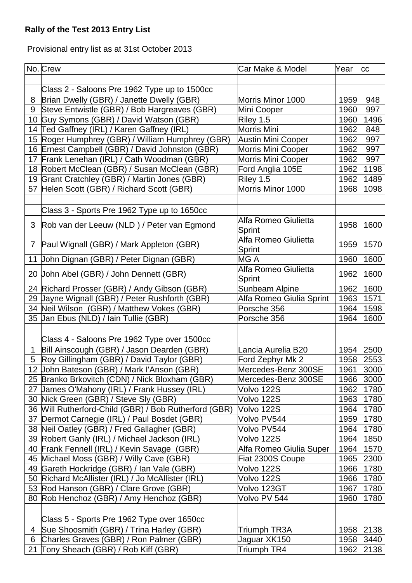## **Rally of the Test 2013 Entry List**

Provisional entry list as at 31st October 2013

| Class 2 - Saloons Pre 1962 Type up to 1500cc<br>Brian Dwelly (GBR) / Janette Dwelly (GBR)<br>8<br>Morris Minor 1000<br>1959<br>948<br>Steve Entwistle (GBR) / Bob Hargreaves (GBR)<br>Mini Cooper<br>1960<br>997<br>9<br>10 Guy Symons (GBR) / David Watson (GBR)<br>Riley 1.5<br>1496<br>1960<br>14 Ted Gaffney (IRL) / Karen Gaffney (IRL)<br>Morris Mini<br>1962<br>848<br>15 Roger Humphrey (GBR) / William Humphrey (GBR)<br><b>Austin Mini Cooper</b><br>1962<br>997<br>16 Ernest Campbell (GBR) / David Johnston (GBR)<br>Morris Mini Cooper<br>1962<br>997<br>17 Frank Lenehan (IRL) / Cath Woodman (GBR)<br>Morris Mini Cooper<br>1962<br>997<br>18 Robert McClean (GBR) / Susan McClean (GBR)<br>Ford Anglia 105E<br>1962<br>1198<br>19 Grant Cratchley (GBR) / Martin Jones (GBR)<br>Riley 1.5<br>1962<br>1489<br>57 Helen Scott (GBR) / Richard Scott (GBR)<br>Morris Minor 1000<br>1968<br>1098<br>Class 3 - Sports Pre 1962 Type up to 1650cc<br>Alfa Romeo Giulietta<br>Rob van der Leeuw (NLD) / Peter van Egmond<br>1958<br>1600<br>3<br>Sprint<br>Alfa Romeo Giulietta<br>1570<br>Paul Wignall (GBR) / Mark Appleton (GBR)<br>1959<br>7<br><b>Sprint</b><br>1600<br>11 John Dignan (GBR) / Peter Dignan (GBR)<br>MG A<br>1960<br>Alfa Romeo Giulietta<br>1600<br>20 John Abel (GBR) / John Dennett (GBR)<br>1962<br><b>Sprint</b><br>24 Richard Prosser (GBR) / Andy Gibson (GBR)<br><b>Sunbeam Alpine</b><br>1962<br>1600<br>29 Jayne Wignall (GBR) / Peter Rushforth (GBR)<br>1571<br>Alfa Romeo Giulia Sprint<br>1963<br>34 Neil Wilson (GBR) / Matthew Vokes (GBR)<br>1964<br>1598<br>Porsche 356<br>35 Jan Ebus (NLD) / Iain Tullie (GBR)<br>Porsche 356<br>1964<br>1600<br>Class 4 - Saloons Pre 1962 Type over 1500cc<br>Bill Ainscough (GBR) / Jason Dearden (GBR)<br>2500<br>$\mathbf{1}$<br>ancia Aurelia B20<br>1954<br>Roy Gillingham (GBR) / David Taylor (GBR)<br>Ford Zephyr Mk 2<br>1958<br>2553<br>5<br>12 John Bateson (GBR) / Mark l'Anson (GBR)<br>1961<br>3000<br>Mercedes-Benz 300SE<br>25 Branko Brkovitch (CDN) / Nick Bloxham (GBR)<br>3000<br>Mercedes-Benz 300SE<br>1966<br>27 James O'Mahony (IRL) / Frank Hussey (IRL)<br>1962<br>1780<br>Volvo 122S<br>30 Nick Green (GBR) / Steve Sly (GBR)<br>Volvo 122S<br>1963<br>1780<br>36 Will Rutherford-Child (GBR) / Bob Rutherford (GBR)<br>Volvo 122S<br>1780<br>1964<br>37 Dermot Carnegie (IRL) / Paul Bosdet (GBR)<br>Volvo PV544<br>1780<br>1959<br>38 Neil Oatley (GBR) / Fred Gallagher (GBR)<br>1780<br>Volvo PV544<br>1964<br>39 Robert Ganly (IRL) / Michael Jackson (IRL)<br>Volvo 122S<br>1964<br>1850<br>40 Frank Fennell (IRL) / Kevin Savage (GBR)<br>Alfa Romeo Giulia Super<br>1964<br>1570<br>45 Michael Moss (GBR) / Willy Cave (GBR)<br>2300<br>Fiat 2300S Coupe<br>1965<br>49 Gareth Hockridge (GBR) / Ian Vale (GBR)<br>Volvo 122S<br>1780<br>1966<br>50 Richard McAllister (IRL) / Jo McAllister (IRL)<br>Volvo 122S<br>1966<br>1780<br>53 Rod Hanson (GBR) / Clare Grove (GBR)<br>Volvo 123GT<br>1780<br>1967<br>80 Rob Henchoz (GBR) / Amy Henchoz (GBR)<br>Volvo PV 544<br>1960<br>1780<br>Class 5 - Sports Pre 1962 Type over 1650cc<br>Sue Shoosmith (GBR) / Trina Harley (GBR)<br>Triumph TR3A<br>2138<br>1958<br>4 |   | No. Crew                                | Car Make & Model | Year | <b>CC</b> |
|---------------------------------------------------------------------------------------------------------------------------------------------------------------------------------------------------------------------------------------------------------------------------------------------------------------------------------------------------------------------------------------------------------------------------------------------------------------------------------------------------------------------------------------------------------------------------------------------------------------------------------------------------------------------------------------------------------------------------------------------------------------------------------------------------------------------------------------------------------------------------------------------------------------------------------------------------------------------------------------------------------------------------------------------------------------------------------------------------------------------------------------------------------------------------------------------------------------------------------------------------------------------------------------------------------------------------------------------------------------------------------------------------------------------------------------------------------------------------------------------------------------------------------------------------------------------------------------------------------------------------------------------------------------------------------------------------------------------------------------------------------------------------------------------------------------------------------------------------------------------------------------------------------------------------------------------------------------------------------------------------------------------------------------------------------------------------------------------------------------------------------------------------------------------------------------------------------------------------------------------------------------------------------------------------------------------------------------------------------------------------------------------------------------------------------------------------------------------------------------------------------------------------------------------------------------------------------------------------------------------------------------------------------------------------------------------------------------------------------------------------------------------------------------------------------------------------------------------------------------------------------------------------------------------------------------------------------------------------------------------------------------------------------------------------------------------------------------------------------------------------------------------------------------------------------------------------------------------------------------------|---|-----------------------------------------|------------------|------|-----------|
|                                                                                                                                                                                                                                                                                                                                                                                                                                                                                                                                                                                                                                                                                                                                                                                                                                                                                                                                                                                                                                                                                                                                                                                                                                                                                                                                                                                                                                                                                                                                                                                                                                                                                                                                                                                                                                                                                                                                                                                                                                                                                                                                                                                                                                                                                                                                                                                                                                                                                                                                                                                                                                                                                                                                                                                                                                                                                                                                                                                                                                                                                                                                                                                                                                             |   |                                         |                  |      |           |
|                                                                                                                                                                                                                                                                                                                                                                                                                                                                                                                                                                                                                                                                                                                                                                                                                                                                                                                                                                                                                                                                                                                                                                                                                                                                                                                                                                                                                                                                                                                                                                                                                                                                                                                                                                                                                                                                                                                                                                                                                                                                                                                                                                                                                                                                                                                                                                                                                                                                                                                                                                                                                                                                                                                                                                                                                                                                                                                                                                                                                                                                                                                                                                                                                                             |   |                                         |                  |      |           |
|                                                                                                                                                                                                                                                                                                                                                                                                                                                                                                                                                                                                                                                                                                                                                                                                                                                                                                                                                                                                                                                                                                                                                                                                                                                                                                                                                                                                                                                                                                                                                                                                                                                                                                                                                                                                                                                                                                                                                                                                                                                                                                                                                                                                                                                                                                                                                                                                                                                                                                                                                                                                                                                                                                                                                                                                                                                                                                                                                                                                                                                                                                                                                                                                                                             |   |                                         |                  |      |           |
|                                                                                                                                                                                                                                                                                                                                                                                                                                                                                                                                                                                                                                                                                                                                                                                                                                                                                                                                                                                                                                                                                                                                                                                                                                                                                                                                                                                                                                                                                                                                                                                                                                                                                                                                                                                                                                                                                                                                                                                                                                                                                                                                                                                                                                                                                                                                                                                                                                                                                                                                                                                                                                                                                                                                                                                                                                                                                                                                                                                                                                                                                                                                                                                                                                             |   |                                         |                  |      |           |
|                                                                                                                                                                                                                                                                                                                                                                                                                                                                                                                                                                                                                                                                                                                                                                                                                                                                                                                                                                                                                                                                                                                                                                                                                                                                                                                                                                                                                                                                                                                                                                                                                                                                                                                                                                                                                                                                                                                                                                                                                                                                                                                                                                                                                                                                                                                                                                                                                                                                                                                                                                                                                                                                                                                                                                                                                                                                                                                                                                                                                                                                                                                                                                                                                                             |   |                                         |                  |      |           |
|                                                                                                                                                                                                                                                                                                                                                                                                                                                                                                                                                                                                                                                                                                                                                                                                                                                                                                                                                                                                                                                                                                                                                                                                                                                                                                                                                                                                                                                                                                                                                                                                                                                                                                                                                                                                                                                                                                                                                                                                                                                                                                                                                                                                                                                                                                                                                                                                                                                                                                                                                                                                                                                                                                                                                                                                                                                                                                                                                                                                                                                                                                                                                                                                                                             |   |                                         |                  |      |           |
|                                                                                                                                                                                                                                                                                                                                                                                                                                                                                                                                                                                                                                                                                                                                                                                                                                                                                                                                                                                                                                                                                                                                                                                                                                                                                                                                                                                                                                                                                                                                                                                                                                                                                                                                                                                                                                                                                                                                                                                                                                                                                                                                                                                                                                                                                                                                                                                                                                                                                                                                                                                                                                                                                                                                                                                                                                                                                                                                                                                                                                                                                                                                                                                                                                             |   |                                         |                  |      |           |
|                                                                                                                                                                                                                                                                                                                                                                                                                                                                                                                                                                                                                                                                                                                                                                                                                                                                                                                                                                                                                                                                                                                                                                                                                                                                                                                                                                                                                                                                                                                                                                                                                                                                                                                                                                                                                                                                                                                                                                                                                                                                                                                                                                                                                                                                                                                                                                                                                                                                                                                                                                                                                                                                                                                                                                                                                                                                                                                                                                                                                                                                                                                                                                                                                                             |   |                                         |                  |      |           |
|                                                                                                                                                                                                                                                                                                                                                                                                                                                                                                                                                                                                                                                                                                                                                                                                                                                                                                                                                                                                                                                                                                                                                                                                                                                                                                                                                                                                                                                                                                                                                                                                                                                                                                                                                                                                                                                                                                                                                                                                                                                                                                                                                                                                                                                                                                                                                                                                                                                                                                                                                                                                                                                                                                                                                                                                                                                                                                                                                                                                                                                                                                                                                                                                                                             |   |                                         |                  |      |           |
|                                                                                                                                                                                                                                                                                                                                                                                                                                                                                                                                                                                                                                                                                                                                                                                                                                                                                                                                                                                                                                                                                                                                                                                                                                                                                                                                                                                                                                                                                                                                                                                                                                                                                                                                                                                                                                                                                                                                                                                                                                                                                                                                                                                                                                                                                                                                                                                                                                                                                                                                                                                                                                                                                                                                                                                                                                                                                                                                                                                                                                                                                                                                                                                                                                             |   |                                         |                  |      |           |
|                                                                                                                                                                                                                                                                                                                                                                                                                                                                                                                                                                                                                                                                                                                                                                                                                                                                                                                                                                                                                                                                                                                                                                                                                                                                                                                                                                                                                                                                                                                                                                                                                                                                                                                                                                                                                                                                                                                                                                                                                                                                                                                                                                                                                                                                                                                                                                                                                                                                                                                                                                                                                                                                                                                                                                                                                                                                                                                                                                                                                                                                                                                                                                                                                                             |   |                                         |                  |      |           |
|                                                                                                                                                                                                                                                                                                                                                                                                                                                                                                                                                                                                                                                                                                                                                                                                                                                                                                                                                                                                                                                                                                                                                                                                                                                                                                                                                                                                                                                                                                                                                                                                                                                                                                                                                                                                                                                                                                                                                                                                                                                                                                                                                                                                                                                                                                                                                                                                                                                                                                                                                                                                                                                                                                                                                                                                                                                                                                                                                                                                                                                                                                                                                                                                                                             |   |                                         |                  |      |           |
|                                                                                                                                                                                                                                                                                                                                                                                                                                                                                                                                                                                                                                                                                                                                                                                                                                                                                                                                                                                                                                                                                                                                                                                                                                                                                                                                                                                                                                                                                                                                                                                                                                                                                                                                                                                                                                                                                                                                                                                                                                                                                                                                                                                                                                                                                                                                                                                                                                                                                                                                                                                                                                                                                                                                                                                                                                                                                                                                                                                                                                                                                                                                                                                                                                             |   |                                         |                  |      |           |
|                                                                                                                                                                                                                                                                                                                                                                                                                                                                                                                                                                                                                                                                                                                                                                                                                                                                                                                                                                                                                                                                                                                                                                                                                                                                                                                                                                                                                                                                                                                                                                                                                                                                                                                                                                                                                                                                                                                                                                                                                                                                                                                                                                                                                                                                                                                                                                                                                                                                                                                                                                                                                                                                                                                                                                                                                                                                                                                                                                                                                                                                                                                                                                                                                                             |   |                                         |                  |      |           |
|                                                                                                                                                                                                                                                                                                                                                                                                                                                                                                                                                                                                                                                                                                                                                                                                                                                                                                                                                                                                                                                                                                                                                                                                                                                                                                                                                                                                                                                                                                                                                                                                                                                                                                                                                                                                                                                                                                                                                                                                                                                                                                                                                                                                                                                                                                                                                                                                                                                                                                                                                                                                                                                                                                                                                                                                                                                                                                                                                                                                                                                                                                                                                                                                                                             |   |                                         |                  |      |           |
|                                                                                                                                                                                                                                                                                                                                                                                                                                                                                                                                                                                                                                                                                                                                                                                                                                                                                                                                                                                                                                                                                                                                                                                                                                                                                                                                                                                                                                                                                                                                                                                                                                                                                                                                                                                                                                                                                                                                                                                                                                                                                                                                                                                                                                                                                                                                                                                                                                                                                                                                                                                                                                                                                                                                                                                                                                                                                                                                                                                                                                                                                                                                                                                                                                             |   |                                         |                  |      |           |
|                                                                                                                                                                                                                                                                                                                                                                                                                                                                                                                                                                                                                                                                                                                                                                                                                                                                                                                                                                                                                                                                                                                                                                                                                                                                                                                                                                                                                                                                                                                                                                                                                                                                                                                                                                                                                                                                                                                                                                                                                                                                                                                                                                                                                                                                                                                                                                                                                                                                                                                                                                                                                                                                                                                                                                                                                                                                                                                                                                                                                                                                                                                                                                                                                                             |   |                                         |                  |      |           |
|                                                                                                                                                                                                                                                                                                                                                                                                                                                                                                                                                                                                                                                                                                                                                                                                                                                                                                                                                                                                                                                                                                                                                                                                                                                                                                                                                                                                                                                                                                                                                                                                                                                                                                                                                                                                                                                                                                                                                                                                                                                                                                                                                                                                                                                                                                                                                                                                                                                                                                                                                                                                                                                                                                                                                                                                                                                                                                                                                                                                                                                                                                                                                                                                                                             |   |                                         |                  |      |           |
|                                                                                                                                                                                                                                                                                                                                                                                                                                                                                                                                                                                                                                                                                                                                                                                                                                                                                                                                                                                                                                                                                                                                                                                                                                                                                                                                                                                                                                                                                                                                                                                                                                                                                                                                                                                                                                                                                                                                                                                                                                                                                                                                                                                                                                                                                                                                                                                                                                                                                                                                                                                                                                                                                                                                                                                                                                                                                                                                                                                                                                                                                                                                                                                                                                             |   |                                         |                  |      |           |
|                                                                                                                                                                                                                                                                                                                                                                                                                                                                                                                                                                                                                                                                                                                                                                                                                                                                                                                                                                                                                                                                                                                                                                                                                                                                                                                                                                                                                                                                                                                                                                                                                                                                                                                                                                                                                                                                                                                                                                                                                                                                                                                                                                                                                                                                                                                                                                                                                                                                                                                                                                                                                                                                                                                                                                                                                                                                                                                                                                                                                                                                                                                                                                                                                                             |   |                                         |                  |      |           |
|                                                                                                                                                                                                                                                                                                                                                                                                                                                                                                                                                                                                                                                                                                                                                                                                                                                                                                                                                                                                                                                                                                                                                                                                                                                                                                                                                                                                                                                                                                                                                                                                                                                                                                                                                                                                                                                                                                                                                                                                                                                                                                                                                                                                                                                                                                                                                                                                                                                                                                                                                                                                                                                                                                                                                                                                                                                                                                                                                                                                                                                                                                                                                                                                                                             |   |                                         |                  |      |           |
|                                                                                                                                                                                                                                                                                                                                                                                                                                                                                                                                                                                                                                                                                                                                                                                                                                                                                                                                                                                                                                                                                                                                                                                                                                                                                                                                                                                                                                                                                                                                                                                                                                                                                                                                                                                                                                                                                                                                                                                                                                                                                                                                                                                                                                                                                                                                                                                                                                                                                                                                                                                                                                                                                                                                                                                                                                                                                                                                                                                                                                                                                                                                                                                                                                             |   |                                         |                  |      |           |
|                                                                                                                                                                                                                                                                                                                                                                                                                                                                                                                                                                                                                                                                                                                                                                                                                                                                                                                                                                                                                                                                                                                                                                                                                                                                                                                                                                                                                                                                                                                                                                                                                                                                                                                                                                                                                                                                                                                                                                                                                                                                                                                                                                                                                                                                                                                                                                                                                                                                                                                                                                                                                                                                                                                                                                                                                                                                                                                                                                                                                                                                                                                                                                                                                                             |   |                                         |                  |      |           |
|                                                                                                                                                                                                                                                                                                                                                                                                                                                                                                                                                                                                                                                                                                                                                                                                                                                                                                                                                                                                                                                                                                                                                                                                                                                                                                                                                                                                                                                                                                                                                                                                                                                                                                                                                                                                                                                                                                                                                                                                                                                                                                                                                                                                                                                                                                                                                                                                                                                                                                                                                                                                                                                                                                                                                                                                                                                                                                                                                                                                                                                                                                                                                                                                                                             |   |                                         |                  |      |           |
|                                                                                                                                                                                                                                                                                                                                                                                                                                                                                                                                                                                                                                                                                                                                                                                                                                                                                                                                                                                                                                                                                                                                                                                                                                                                                                                                                                                                                                                                                                                                                                                                                                                                                                                                                                                                                                                                                                                                                                                                                                                                                                                                                                                                                                                                                                                                                                                                                                                                                                                                                                                                                                                                                                                                                                                                                                                                                                                                                                                                                                                                                                                                                                                                                                             |   |                                         |                  |      |           |
|                                                                                                                                                                                                                                                                                                                                                                                                                                                                                                                                                                                                                                                                                                                                                                                                                                                                                                                                                                                                                                                                                                                                                                                                                                                                                                                                                                                                                                                                                                                                                                                                                                                                                                                                                                                                                                                                                                                                                                                                                                                                                                                                                                                                                                                                                                                                                                                                                                                                                                                                                                                                                                                                                                                                                                                                                                                                                                                                                                                                                                                                                                                                                                                                                                             |   |                                         |                  |      |           |
|                                                                                                                                                                                                                                                                                                                                                                                                                                                                                                                                                                                                                                                                                                                                                                                                                                                                                                                                                                                                                                                                                                                                                                                                                                                                                                                                                                                                                                                                                                                                                                                                                                                                                                                                                                                                                                                                                                                                                                                                                                                                                                                                                                                                                                                                                                                                                                                                                                                                                                                                                                                                                                                                                                                                                                                                                                                                                                                                                                                                                                                                                                                                                                                                                                             |   |                                         |                  |      |           |
|                                                                                                                                                                                                                                                                                                                                                                                                                                                                                                                                                                                                                                                                                                                                                                                                                                                                                                                                                                                                                                                                                                                                                                                                                                                                                                                                                                                                                                                                                                                                                                                                                                                                                                                                                                                                                                                                                                                                                                                                                                                                                                                                                                                                                                                                                                                                                                                                                                                                                                                                                                                                                                                                                                                                                                                                                                                                                                                                                                                                                                                                                                                                                                                                                                             |   |                                         |                  |      |           |
|                                                                                                                                                                                                                                                                                                                                                                                                                                                                                                                                                                                                                                                                                                                                                                                                                                                                                                                                                                                                                                                                                                                                                                                                                                                                                                                                                                                                                                                                                                                                                                                                                                                                                                                                                                                                                                                                                                                                                                                                                                                                                                                                                                                                                                                                                                                                                                                                                                                                                                                                                                                                                                                                                                                                                                                                                                                                                                                                                                                                                                                                                                                                                                                                                                             |   |                                         |                  |      |           |
|                                                                                                                                                                                                                                                                                                                                                                                                                                                                                                                                                                                                                                                                                                                                                                                                                                                                                                                                                                                                                                                                                                                                                                                                                                                                                                                                                                                                                                                                                                                                                                                                                                                                                                                                                                                                                                                                                                                                                                                                                                                                                                                                                                                                                                                                                                                                                                                                                                                                                                                                                                                                                                                                                                                                                                                                                                                                                                                                                                                                                                                                                                                                                                                                                                             |   |                                         |                  |      |           |
|                                                                                                                                                                                                                                                                                                                                                                                                                                                                                                                                                                                                                                                                                                                                                                                                                                                                                                                                                                                                                                                                                                                                                                                                                                                                                                                                                                                                                                                                                                                                                                                                                                                                                                                                                                                                                                                                                                                                                                                                                                                                                                                                                                                                                                                                                                                                                                                                                                                                                                                                                                                                                                                                                                                                                                                                                                                                                                                                                                                                                                                                                                                                                                                                                                             |   |                                         |                  |      |           |
|                                                                                                                                                                                                                                                                                                                                                                                                                                                                                                                                                                                                                                                                                                                                                                                                                                                                                                                                                                                                                                                                                                                                                                                                                                                                                                                                                                                                                                                                                                                                                                                                                                                                                                                                                                                                                                                                                                                                                                                                                                                                                                                                                                                                                                                                                                                                                                                                                                                                                                                                                                                                                                                                                                                                                                                                                                                                                                                                                                                                                                                                                                                                                                                                                                             |   |                                         |                  |      |           |
|                                                                                                                                                                                                                                                                                                                                                                                                                                                                                                                                                                                                                                                                                                                                                                                                                                                                                                                                                                                                                                                                                                                                                                                                                                                                                                                                                                                                                                                                                                                                                                                                                                                                                                                                                                                                                                                                                                                                                                                                                                                                                                                                                                                                                                                                                                                                                                                                                                                                                                                                                                                                                                                                                                                                                                                                                                                                                                                                                                                                                                                                                                                                                                                                                                             |   |                                         |                  |      |           |
|                                                                                                                                                                                                                                                                                                                                                                                                                                                                                                                                                                                                                                                                                                                                                                                                                                                                                                                                                                                                                                                                                                                                                                                                                                                                                                                                                                                                                                                                                                                                                                                                                                                                                                                                                                                                                                                                                                                                                                                                                                                                                                                                                                                                                                                                                                                                                                                                                                                                                                                                                                                                                                                                                                                                                                                                                                                                                                                                                                                                                                                                                                                                                                                                                                             |   |                                         |                  |      |           |
|                                                                                                                                                                                                                                                                                                                                                                                                                                                                                                                                                                                                                                                                                                                                                                                                                                                                                                                                                                                                                                                                                                                                                                                                                                                                                                                                                                                                                                                                                                                                                                                                                                                                                                                                                                                                                                                                                                                                                                                                                                                                                                                                                                                                                                                                                                                                                                                                                                                                                                                                                                                                                                                                                                                                                                                                                                                                                                                                                                                                                                                                                                                                                                                                                                             |   |                                         |                  |      |           |
|                                                                                                                                                                                                                                                                                                                                                                                                                                                                                                                                                                                                                                                                                                                                                                                                                                                                                                                                                                                                                                                                                                                                                                                                                                                                                                                                                                                                                                                                                                                                                                                                                                                                                                                                                                                                                                                                                                                                                                                                                                                                                                                                                                                                                                                                                                                                                                                                                                                                                                                                                                                                                                                                                                                                                                                                                                                                                                                                                                                                                                                                                                                                                                                                                                             |   |                                         |                  |      |           |
|                                                                                                                                                                                                                                                                                                                                                                                                                                                                                                                                                                                                                                                                                                                                                                                                                                                                                                                                                                                                                                                                                                                                                                                                                                                                                                                                                                                                                                                                                                                                                                                                                                                                                                                                                                                                                                                                                                                                                                                                                                                                                                                                                                                                                                                                                                                                                                                                                                                                                                                                                                                                                                                                                                                                                                                                                                                                                                                                                                                                                                                                                                                                                                                                                                             |   |                                         |                  |      |           |
|                                                                                                                                                                                                                                                                                                                                                                                                                                                                                                                                                                                                                                                                                                                                                                                                                                                                                                                                                                                                                                                                                                                                                                                                                                                                                                                                                                                                                                                                                                                                                                                                                                                                                                                                                                                                                                                                                                                                                                                                                                                                                                                                                                                                                                                                                                                                                                                                                                                                                                                                                                                                                                                                                                                                                                                                                                                                                                                                                                                                                                                                                                                                                                                                                                             |   |                                         |                  |      |           |
|                                                                                                                                                                                                                                                                                                                                                                                                                                                                                                                                                                                                                                                                                                                                                                                                                                                                                                                                                                                                                                                                                                                                                                                                                                                                                                                                                                                                                                                                                                                                                                                                                                                                                                                                                                                                                                                                                                                                                                                                                                                                                                                                                                                                                                                                                                                                                                                                                                                                                                                                                                                                                                                                                                                                                                                                                                                                                                                                                                                                                                                                                                                                                                                                                                             |   |                                         |                  |      |           |
|                                                                                                                                                                                                                                                                                                                                                                                                                                                                                                                                                                                                                                                                                                                                                                                                                                                                                                                                                                                                                                                                                                                                                                                                                                                                                                                                                                                                                                                                                                                                                                                                                                                                                                                                                                                                                                                                                                                                                                                                                                                                                                                                                                                                                                                                                                                                                                                                                                                                                                                                                                                                                                                                                                                                                                                                                                                                                                                                                                                                                                                                                                                                                                                                                                             |   |                                         |                  |      |           |
|                                                                                                                                                                                                                                                                                                                                                                                                                                                                                                                                                                                                                                                                                                                                                                                                                                                                                                                                                                                                                                                                                                                                                                                                                                                                                                                                                                                                                                                                                                                                                                                                                                                                                                                                                                                                                                                                                                                                                                                                                                                                                                                                                                                                                                                                                                                                                                                                                                                                                                                                                                                                                                                                                                                                                                                                                                                                                                                                                                                                                                                                                                                                                                                                                                             |   |                                         |                  |      |           |
|                                                                                                                                                                                                                                                                                                                                                                                                                                                                                                                                                                                                                                                                                                                                                                                                                                                                                                                                                                                                                                                                                                                                                                                                                                                                                                                                                                                                                                                                                                                                                                                                                                                                                                                                                                                                                                                                                                                                                                                                                                                                                                                                                                                                                                                                                                                                                                                                                                                                                                                                                                                                                                                                                                                                                                                                                                                                                                                                                                                                                                                                                                                                                                                                                                             |   |                                         |                  |      |           |
|                                                                                                                                                                                                                                                                                                                                                                                                                                                                                                                                                                                                                                                                                                                                                                                                                                                                                                                                                                                                                                                                                                                                                                                                                                                                                                                                                                                                                                                                                                                                                                                                                                                                                                                                                                                                                                                                                                                                                                                                                                                                                                                                                                                                                                                                                                                                                                                                                                                                                                                                                                                                                                                                                                                                                                                                                                                                                                                                                                                                                                                                                                                                                                                                                                             |   |                                         |                  |      |           |
|                                                                                                                                                                                                                                                                                                                                                                                                                                                                                                                                                                                                                                                                                                                                                                                                                                                                                                                                                                                                                                                                                                                                                                                                                                                                                                                                                                                                                                                                                                                                                                                                                                                                                                                                                                                                                                                                                                                                                                                                                                                                                                                                                                                                                                                                                                                                                                                                                                                                                                                                                                                                                                                                                                                                                                                                                                                                                                                                                                                                                                                                                                                                                                                                                                             |   |                                         |                  |      |           |
|                                                                                                                                                                                                                                                                                                                                                                                                                                                                                                                                                                                                                                                                                                                                                                                                                                                                                                                                                                                                                                                                                                                                                                                                                                                                                                                                                                                                                                                                                                                                                                                                                                                                                                                                                                                                                                                                                                                                                                                                                                                                                                                                                                                                                                                                                                                                                                                                                                                                                                                                                                                                                                                                                                                                                                                                                                                                                                                                                                                                                                                                                                                                                                                                                                             |   |                                         |                  |      |           |
|                                                                                                                                                                                                                                                                                                                                                                                                                                                                                                                                                                                                                                                                                                                                                                                                                                                                                                                                                                                                                                                                                                                                                                                                                                                                                                                                                                                                                                                                                                                                                                                                                                                                                                                                                                                                                                                                                                                                                                                                                                                                                                                                                                                                                                                                                                                                                                                                                                                                                                                                                                                                                                                                                                                                                                                                                                                                                                                                                                                                                                                                                                                                                                                                                                             |   |                                         |                  |      |           |
|                                                                                                                                                                                                                                                                                                                                                                                                                                                                                                                                                                                                                                                                                                                                                                                                                                                                                                                                                                                                                                                                                                                                                                                                                                                                                                                                                                                                                                                                                                                                                                                                                                                                                                                                                                                                                                                                                                                                                                                                                                                                                                                                                                                                                                                                                                                                                                                                                                                                                                                                                                                                                                                                                                                                                                                                                                                                                                                                                                                                                                                                                                                                                                                                                                             | 6 | Charles Graves (GBR) / Ron Palmer (GBR) | Jaguar XK150     | 1958 | 3440      |
| Tony Sheach (GBR) / Rob Kiff (GBR)<br>Triumph TR4<br>1962<br>2138<br>21                                                                                                                                                                                                                                                                                                                                                                                                                                                                                                                                                                                                                                                                                                                                                                                                                                                                                                                                                                                                                                                                                                                                                                                                                                                                                                                                                                                                                                                                                                                                                                                                                                                                                                                                                                                                                                                                                                                                                                                                                                                                                                                                                                                                                                                                                                                                                                                                                                                                                                                                                                                                                                                                                                                                                                                                                                                                                                                                                                                                                                                                                                                                                                     |   |                                         |                  |      |           |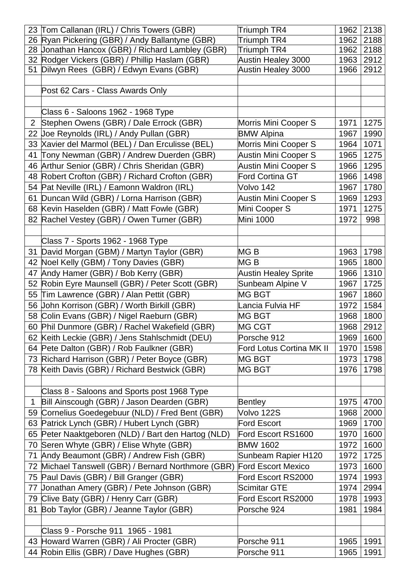| 26 Ryan Pickering (GBR) / Andy Ballantyne (GBR)<br>Triumph TR4<br>2188<br>1962<br>28 Jonathan Hancox (GBR) / Richard Lambley (GBR)<br>Triumph TR4<br>2188<br>1962<br>32 Rodger Vickers (GBR) / Phillip Haslam (GBR)<br><b>Austin Healey 3000</b><br>2912<br>1963<br>2912<br>51 Dilwyn Rees (GBR) / Edwyn Evans (GBR)<br><b>Austin Healey 3000</b><br>1966<br>Post 62 Cars - Class Awards Only<br>Class 6 - Saloons 1962 - 1968 Type<br>Stephen Owens (GBR) / Dale Errock (GBR)<br>$\overline{2}$<br>Morris Mini Cooper S<br>1971<br>1275<br>22 Joe Reynolds (IRL) / Andy Pullan (GBR)<br><b>BMW Alpina</b><br>1967<br>1990<br>33 Xavier del Marmol (BEL) / Dan Erculisse (BEL)<br>Morris Mini Cooper S<br>1071<br>1964<br>41 Tony Newman (GBR) / Andrew Duerden (GBR)<br><b>Austin Mini Cooper S</b><br>1275<br>1965<br>1295<br>46 Arthur Senior (GBR) / Chris Sheridan (GBR)<br><b>Austin Mini Cooper S</b><br>1966<br>48 Robert Crofton (GBR) / Richard Crofton (GBR)<br>Ford Cortina GT<br>1498<br>1966<br>1780<br>54 Pat Neville (IRL) / Eamonn Waldron (IRL)<br>Volvo 142<br>1967<br>61 Duncan Wild (GBR) / Lorna Harrison (GBR)<br>Austin Mini Cooper S<br>1293<br>1969<br>68 Kevin Haselden (GBR) / Matt Fowle (GBR)<br>Mini Cooper S<br>1971<br>1275<br><b>Mini 1000</b><br>82 Rachel Vestey (GBR) / Owen Turner (GBR)<br>1972<br>998<br>Class 7 - Sports 1962 - 1968 Type<br>31 David Morgan (GBM) / Martyn Taylor (GBR)<br>MG <sub>B</sub><br>1798<br>1963<br>42 Noel Kelly (GBM) / Tony Davies (GBR)<br>MG B<br>1800<br>1965<br>Andy Hamer (GBR) / Bob Kerry (GBR)<br><b>Austin Healey Sprite</b><br>1310<br>1966<br>47<br>52 Robin Eyre Maunsell (GBR) / Peter Scott (GBR)<br>Sunbeam Alpine V<br>1725<br>1967<br>55 Tim Lawrence (GBR) / Alan Pettit (GBR)<br><b>MG BGT</b><br>1860<br>1967<br>56 John Korrison (GBR) / Worth Birkill (GBR)<br>Lancia Fulvia HF<br>1972<br>1584<br>58 Colin Evans (GBR) / Nigel Raeburn (GBR)<br><b>MG BGT</b><br>1968<br>1800<br>60 Phil Dunmore (GBR) / Rachel Wakefield (GBR)<br><b>MG CGT</b><br>1968<br>2912<br>62 Keith Leckie (GBR) / Jens Stahlschmidt (DEU)<br>Porsche 912<br>1969<br>1600<br>64 Pete Dalton (GBR) / Rob Faulkner (GBR)<br>Ford Lotus Cortina MK II<br>1970<br>1598<br>73 Richard Harrison (GBR) / Peter Boyce (GBR)<br><b>MG BGT</b><br>1973<br>1798<br>78 Keith Davis (GBR) / Richard Bestwick (GBR)<br><b>MG BGT</b><br>1798<br>1976<br>Class 8 - Saloons and Sports post 1968 Type<br>Bill Ainscough (GBR) / Jason Dearden (GBR)<br>$\mathbf{1}$<br>1975<br>4700<br><b>Bentley</b><br>59 Cornelius Goedegebuur (NLD) / Fred Bent (GBR)<br>Volvo 122S<br>2000<br>1968<br>63 Patrick Lynch (GBR) / Hubert Lynch (GBR)<br>Ford Escort<br>1969<br>1700<br>65 Peter Naaktgeboren (NLD) / Bart den Hartog (NLD)<br>Ford Escort RS1600<br>1970<br>1600<br>70 Seren Whyte (GBR) / Elise Whyte (GBR)<br><b>BMW 1602</b><br>1972<br>1600<br>71 Andy Beaumont (GBR) / Andrew Fish (GBR)<br>Sunbeam Rapier H120<br>1972<br>1725<br>72 Michael Tanswell (GBR) / Bernard Northmore (GBR)<br><b>Ford Escort Mexico</b><br>1600<br>1973<br>75 Paul Davis (GBR) / Bill Granger (GBR)<br>1993<br>Ford Escort RS2000<br>1974<br><b>Jonathan Amery (GBR) / Pete Johnson (GBR)</b><br>Scimitar GTE<br>1974<br>2994<br>77<br>79 Clive Baty (GBR) / Henry Carr (GBR)<br>Ford Escort RS2000<br>1993<br>1978<br>81 Bob Taylor (GBR) / Jeanne Taylor (GBR)<br>Porsche 924<br>1981<br>1984<br>Class 9 - Porsche 911 1965 - 1981<br>43 Howard Warren (GBR) / Ali Procter (GBR)<br>Porsche 911<br>1965<br>1991<br>44 Robin Ellis (GBR) / Dave Hughes (GBR) | 23 Tom Callanan (IRL) / Chris Towers (GBR) | Triumph TR4 | 1962 | 2138 |
|---------------------------------------------------------------------------------------------------------------------------------------------------------------------------------------------------------------------------------------------------------------------------------------------------------------------------------------------------------------------------------------------------------------------------------------------------------------------------------------------------------------------------------------------------------------------------------------------------------------------------------------------------------------------------------------------------------------------------------------------------------------------------------------------------------------------------------------------------------------------------------------------------------------------------------------------------------------------------------------------------------------------------------------------------------------------------------------------------------------------------------------------------------------------------------------------------------------------------------------------------------------------------------------------------------------------------------------------------------------------------------------------------------------------------------------------------------------------------------------------------------------------------------------------------------------------------------------------------------------------------------------------------------------------------------------------------------------------------------------------------------------------------------------------------------------------------------------------------------------------------------------------------------------------------------------------------------------------------------------------------------------------------------------------------------------------------------------------------------------------------------------------------------------------------------------------------------------------------------------------------------------------------------------------------------------------------------------------------------------------------------------------------------------------------------------------------------------------------------------------------------------------------------------------------------------------------------------------------------------------------------------------------------------------------------------------------------------------------------------------------------------------------------------------------------------------------------------------------------------------------------------------------------------------------------------------------------------------------------------------------------------------------------------------------------------------------------------------------------------------------------------------------------------------------------------------------------------------------------------------------------------------------------------------------------------------------------------------------------------------------------------------------------------------------------------------------------------------------------------------------------------------------------------------------------------------------------------------------------|--------------------------------------------|-------------|------|------|
|                                                                                                                                                                                                                                                                                                                                                                                                                                                                                                                                                                                                                                                                                                                                                                                                                                                                                                                                                                                                                                                                                                                                                                                                                                                                                                                                                                                                                                                                                                                                                                                                                                                                                                                                                                                                                                                                                                                                                                                                                                                                                                                                                                                                                                                                                                                                                                                                                                                                                                                                                                                                                                                                                                                                                                                                                                                                                                                                                                                                                                                                                                                                                                                                                                                                                                                                                                                                                                                                                                                                                                                                         |                                            |             |      |      |
|                                                                                                                                                                                                                                                                                                                                                                                                                                                                                                                                                                                                                                                                                                                                                                                                                                                                                                                                                                                                                                                                                                                                                                                                                                                                                                                                                                                                                                                                                                                                                                                                                                                                                                                                                                                                                                                                                                                                                                                                                                                                                                                                                                                                                                                                                                                                                                                                                                                                                                                                                                                                                                                                                                                                                                                                                                                                                                                                                                                                                                                                                                                                                                                                                                                                                                                                                                                                                                                                                                                                                                                                         |                                            |             |      |      |
|                                                                                                                                                                                                                                                                                                                                                                                                                                                                                                                                                                                                                                                                                                                                                                                                                                                                                                                                                                                                                                                                                                                                                                                                                                                                                                                                                                                                                                                                                                                                                                                                                                                                                                                                                                                                                                                                                                                                                                                                                                                                                                                                                                                                                                                                                                                                                                                                                                                                                                                                                                                                                                                                                                                                                                                                                                                                                                                                                                                                                                                                                                                                                                                                                                                                                                                                                                                                                                                                                                                                                                                                         |                                            |             |      |      |
|                                                                                                                                                                                                                                                                                                                                                                                                                                                                                                                                                                                                                                                                                                                                                                                                                                                                                                                                                                                                                                                                                                                                                                                                                                                                                                                                                                                                                                                                                                                                                                                                                                                                                                                                                                                                                                                                                                                                                                                                                                                                                                                                                                                                                                                                                                                                                                                                                                                                                                                                                                                                                                                                                                                                                                                                                                                                                                                                                                                                                                                                                                                                                                                                                                                                                                                                                                                                                                                                                                                                                                                                         |                                            |             |      |      |
|                                                                                                                                                                                                                                                                                                                                                                                                                                                                                                                                                                                                                                                                                                                                                                                                                                                                                                                                                                                                                                                                                                                                                                                                                                                                                                                                                                                                                                                                                                                                                                                                                                                                                                                                                                                                                                                                                                                                                                                                                                                                                                                                                                                                                                                                                                                                                                                                                                                                                                                                                                                                                                                                                                                                                                                                                                                                                                                                                                                                                                                                                                                                                                                                                                                                                                                                                                                                                                                                                                                                                                                                         |                                            |             |      |      |
|                                                                                                                                                                                                                                                                                                                                                                                                                                                                                                                                                                                                                                                                                                                                                                                                                                                                                                                                                                                                                                                                                                                                                                                                                                                                                                                                                                                                                                                                                                                                                                                                                                                                                                                                                                                                                                                                                                                                                                                                                                                                                                                                                                                                                                                                                                                                                                                                                                                                                                                                                                                                                                                                                                                                                                                                                                                                                                                                                                                                                                                                                                                                                                                                                                                                                                                                                                                                                                                                                                                                                                                                         |                                            |             |      |      |
|                                                                                                                                                                                                                                                                                                                                                                                                                                                                                                                                                                                                                                                                                                                                                                                                                                                                                                                                                                                                                                                                                                                                                                                                                                                                                                                                                                                                                                                                                                                                                                                                                                                                                                                                                                                                                                                                                                                                                                                                                                                                                                                                                                                                                                                                                                                                                                                                                                                                                                                                                                                                                                                                                                                                                                                                                                                                                                                                                                                                                                                                                                                                                                                                                                                                                                                                                                                                                                                                                                                                                                                                         |                                            |             |      |      |
|                                                                                                                                                                                                                                                                                                                                                                                                                                                                                                                                                                                                                                                                                                                                                                                                                                                                                                                                                                                                                                                                                                                                                                                                                                                                                                                                                                                                                                                                                                                                                                                                                                                                                                                                                                                                                                                                                                                                                                                                                                                                                                                                                                                                                                                                                                                                                                                                                                                                                                                                                                                                                                                                                                                                                                                                                                                                                                                                                                                                                                                                                                                                                                                                                                                                                                                                                                                                                                                                                                                                                                                                         |                                            |             |      |      |
|                                                                                                                                                                                                                                                                                                                                                                                                                                                                                                                                                                                                                                                                                                                                                                                                                                                                                                                                                                                                                                                                                                                                                                                                                                                                                                                                                                                                                                                                                                                                                                                                                                                                                                                                                                                                                                                                                                                                                                                                                                                                                                                                                                                                                                                                                                                                                                                                                                                                                                                                                                                                                                                                                                                                                                                                                                                                                                                                                                                                                                                                                                                                                                                                                                                                                                                                                                                                                                                                                                                                                                                                         |                                            |             |      |      |
|                                                                                                                                                                                                                                                                                                                                                                                                                                                                                                                                                                                                                                                                                                                                                                                                                                                                                                                                                                                                                                                                                                                                                                                                                                                                                                                                                                                                                                                                                                                                                                                                                                                                                                                                                                                                                                                                                                                                                                                                                                                                                                                                                                                                                                                                                                                                                                                                                                                                                                                                                                                                                                                                                                                                                                                                                                                                                                                                                                                                                                                                                                                                                                                                                                                                                                                                                                                                                                                                                                                                                                                                         |                                            |             |      |      |
|                                                                                                                                                                                                                                                                                                                                                                                                                                                                                                                                                                                                                                                                                                                                                                                                                                                                                                                                                                                                                                                                                                                                                                                                                                                                                                                                                                                                                                                                                                                                                                                                                                                                                                                                                                                                                                                                                                                                                                                                                                                                                                                                                                                                                                                                                                                                                                                                                                                                                                                                                                                                                                                                                                                                                                                                                                                                                                                                                                                                                                                                                                                                                                                                                                                                                                                                                                                                                                                                                                                                                                                                         |                                            |             |      |      |
|                                                                                                                                                                                                                                                                                                                                                                                                                                                                                                                                                                                                                                                                                                                                                                                                                                                                                                                                                                                                                                                                                                                                                                                                                                                                                                                                                                                                                                                                                                                                                                                                                                                                                                                                                                                                                                                                                                                                                                                                                                                                                                                                                                                                                                                                                                                                                                                                                                                                                                                                                                                                                                                                                                                                                                                                                                                                                                                                                                                                                                                                                                                                                                                                                                                                                                                                                                                                                                                                                                                                                                                                         |                                            |             |      |      |
|                                                                                                                                                                                                                                                                                                                                                                                                                                                                                                                                                                                                                                                                                                                                                                                                                                                                                                                                                                                                                                                                                                                                                                                                                                                                                                                                                                                                                                                                                                                                                                                                                                                                                                                                                                                                                                                                                                                                                                                                                                                                                                                                                                                                                                                                                                                                                                                                                                                                                                                                                                                                                                                                                                                                                                                                                                                                                                                                                                                                                                                                                                                                                                                                                                                                                                                                                                                                                                                                                                                                                                                                         |                                            |             |      |      |
|                                                                                                                                                                                                                                                                                                                                                                                                                                                                                                                                                                                                                                                                                                                                                                                                                                                                                                                                                                                                                                                                                                                                                                                                                                                                                                                                                                                                                                                                                                                                                                                                                                                                                                                                                                                                                                                                                                                                                                                                                                                                                                                                                                                                                                                                                                                                                                                                                                                                                                                                                                                                                                                                                                                                                                                                                                                                                                                                                                                                                                                                                                                                                                                                                                                                                                                                                                                                                                                                                                                                                                                                         |                                            |             |      |      |
|                                                                                                                                                                                                                                                                                                                                                                                                                                                                                                                                                                                                                                                                                                                                                                                                                                                                                                                                                                                                                                                                                                                                                                                                                                                                                                                                                                                                                                                                                                                                                                                                                                                                                                                                                                                                                                                                                                                                                                                                                                                                                                                                                                                                                                                                                                                                                                                                                                                                                                                                                                                                                                                                                                                                                                                                                                                                                                                                                                                                                                                                                                                                                                                                                                                                                                                                                                                                                                                                                                                                                                                                         |                                            |             |      |      |
|                                                                                                                                                                                                                                                                                                                                                                                                                                                                                                                                                                                                                                                                                                                                                                                                                                                                                                                                                                                                                                                                                                                                                                                                                                                                                                                                                                                                                                                                                                                                                                                                                                                                                                                                                                                                                                                                                                                                                                                                                                                                                                                                                                                                                                                                                                                                                                                                                                                                                                                                                                                                                                                                                                                                                                                                                                                                                                                                                                                                                                                                                                                                                                                                                                                                                                                                                                                                                                                                                                                                                                                                         |                                            |             |      |      |
|                                                                                                                                                                                                                                                                                                                                                                                                                                                                                                                                                                                                                                                                                                                                                                                                                                                                                                                                                                                                                                                                                                                                                                                                                                                                                                                                                                                                                                                                                                                                                                                                                                                                                                                                                                                                                                                                                                                                                                                                                                                                                                                                                                                                                                                                                                                                                                                                                                                                                                                                                                                                                                                                                                                                                                                                                                                                                                                                                                                                                                                                                                                                                                                                                                                                                                                                                                                                                                                                                                                                                                                                         |                                            |             |      |      |
|                                                                                                                                                                                                                                                                                                                                                                                                                                                                                                                                                                                                                                                                                                                                                                                                                                                                                                                                                                                                                                                                                                                                                                                                                                                                                                                                                                                                                                                                                                                                                                                                                                                                                                                                                                                                                                                                                                                                                                                                                                                                                                                                                                                                                                                                                                                                                                                                                                                                                                                                                                                                                                                                                                                                                                                                                                                                                                                                                                                                                                                                                                                                                                                                                                                                                                                                                                                                                                                                                                                                                                                                         |                                            |             |      |      |
|                                                                                                                                                                                                                                                                                                                                                                                                                                                                                                                                                                                                                                                                                                                                                                                                                                                                                                                                                                                                                                                                                                                                                                                                                                                                                                                                                                                                                                                                                                                                                                                                                                                                                                                                                                                                                                                                                                                                                                                                                                                                                                                                                                                                                                                                                                                                                                                                                                                                                                                                                                                                                                                                                                                                                                                                                                                                                                                                                                                                                                                                                                                                                                                                                                                                                                                                                                                                                                                                                                                                                                                                         |                                            |             |      |      |
|                                                                                                                                                                                                                                                                                                                                                                                                                                                                                                                                                                                                                                                                                                                                                                                                                                                                                                                                                                                                                                                                                                                                                                                                                                                                                                                                                                                                                                                                                                                                                                                                                                                                                                                                                                                                                                                                                                                                                                                                                                                                                                                                                                                                                                                                                                                                                                                                                                                                                                                                                                                                                                                                                                                                                                                                                                                                                                                                                                                                                                                                                                                                                                                                                                                                                                                                                                                                                                                                                                                                                                                                         |                                            |             |      |      |
|                                                                                                                                                                                                                                                                                                                                                                                                                                                                                                                                                                                                                                                                                                                                                                                                                                                                                                                                                                                                                                                                                                                                                                                                                                                                                                                                                                                                                                                                                                                                                                                                                                                                                                                                                                                                                                                                                                                                                                                                                                                                                                                                                                                                                                                                                                                                                                                                                                                                                                                                                                                                                                                                                                                                                                                                                                                                                                                                                                                                                                                                                                                                                                                                                                                                                                                                                                                                                                                                                                                                                                                                         |                                            |             |      |      |
|                                                                                                                                                                                                                                                                                                                                                                                                                                                                                                                                                                                                                                                                                                                                                                                                                                                                                                                                                                                                                                                                                                                                                                                                                                                                                                                                                                                                                                                                                                                                                                                                                                                                                                                                                                                                                                                                                                                                                                                                                                                                                                                                                                                                                                                                                                                                                                                                                                                                                                                                                                                                                                                                                                                                                                                                                                                                                                                                                                                                                                                                                                                                                                                                                                                                                                                                                                                                                                                                                                                                                                                                         |                                            |             |      |      |
|                                                                                                                                                                                                                                                                                                                                                                                                                                                                                                                                                                                                                                                                                                                                                                                                                                                                                                                                                                                                                                                                                                                                                                                                                                                                                                                                                                                                                                                                                                                                                                                                                                                                                                                                                                                                                                                                                                                                                                                                                                                                                                                                                                                                                                                                                                                                                                                                                                                                                                                                                                                                                                                                                                                                                                                                                                                                                                                                                                                                                                                                                                                                                                                                                                                                                                                                                                                                                                                                                                                                                                                                         |                                            |             |      |      |
|                                                                                                                                                                                                                                                                                                                                                                                                                                                                                                                                                                                                                                                                                                                                                                                                                                                                                                                                                                                                                                                                                                                                                                                                                                                                                                                                                                                                                                                                                                                                                                                                                                                                                                                                                                                                                                                                                                                                                                                                                                                                                                                                                                                                                                                                                                                                                                                                                                                                                                                                                                                                                                                                                                                                                                                                                                                                                                                                                                                                                                                                                                                                                                                                                                                                                                                                                                                                                                                                                                                                                                                                         |                                            |             |      |      |
|                                                                                                                                                                                                                                                                                                                                                                                                                                                                                                                                                                                                                                                                                                                                                                                                                                                                                                                                                                                                                                                                                                                                                                                                                                                                                                                                                                                                                                                                                                                                                                                                                                                                                                                                                                                                                                                                                                                                                                                                                                                                                                                                                                                                                                                                                                                                                                                                                                                                                                                                                                                                                                                                                                                                                                                                                                                                                                                                                                                                                                                                                                                                                                                                                                                                                                                                                                                                                                                                                                                                                                                                         |                                            |             |      |      |
|                                                                                                                                                                                                                                                                                                                                                                                                                                                                                                                                                                                                                                                                                                                                                                                                                                                                                                                                                                                                                                                                                                                                                                                                                                                                                                                                                                                                                                                                                                                                                                                                                                                                                                                                                                                                                                                                                                                                                                                                                                                                                                                                                                                                                                                                                                                                                                                                                                                                                                                                                                                                                                                                                                                                                                                                                                                                                                                                                                                                                                                                                                                                                                                                                                                                                                                                                                                                                                                                                                                                                                                                         |                                            |             |      |      |
|                                                                                                                                                                                                                                                                                                                                                                                                                                                                                                                                                                                                                                                                                                                                                                                                                                                                                                                                                                                                                                                                                                                                                                                                                                                                                                                                                                                                                                                                                                                                                                                                                                                                                                                                                                                                                                                                                                                                                                                                                                                                                                                                                                                                                                                                                                                                                                                                                                                                                                                                                                                                                                                                                                                                                                                                                                                                                                                                                                                                                                                                                                                                                                                                                                                                                                                                                                                                                                                                                                                                                                                                         |                                            |             |      |      |
|                                                                                                                                                                                                                                                                                                                                                                                                                                                                                                                                                                                                                                                                                                                                                                                                                                                                                                                                                                                                                                                                                                                                                                                                                                                                                                                                                                                                                                                                                                                                                                                                                                                                                                                                                                                                                                                                                                                                                                                                                                                                                                                                                                                                                                                                                                                                                                                                                                                                                                                                                                                                                                                                                                                                                                                                                                                                                                                                                                                                                                                                                                                                                                                                                                                                                                                                                                                                                                                                                                                                                                                                         |                                            |             |      |      |
|                                                                                                                                                                                                                                                                                                                                                                                                                                                                                                                                                                                                                                                                                                                                                                                                                                                                                                                                                                                                                                                                                                                                                                                                                                                                                                                                                                                                                                                                                                                                                                                                                                                                                                                                                                                                                                                                                                                                                                                                                                                                                                                                                                                                                                                                                                                                                                                                                                                                                                                                                                                                                                                                                                                                                                                                                                                                                                                                                                                                                                                                                                                                                                                                                                                                                                                                                                                                                                                                                                                                                                                                         |                                            |             |      |      |
|                                                                                                                                                                                                                                                                                                                                                                                                                                                                                                                                                                                                                                                                                                                                                                                                                                                                                                                                                                                                                                                                                                                                                                                                                                                                                                                                                                                                                                                                                                                                                                                                                                                                                                                                                                                                                                                                                                                                                                                                                                                                                                                                                                                                                                                                                                                                                                                                                                                                                                                                                                                                                                                                                                                                                                                                                                                                                                                                                                                                                                                                                                                                                                                                                                                                                                                                                                                                                                                                                                                                                                                                         |                                            |             |      |      |
|                                                                                                                                                                                                                                                                                                                                                                                                                                                                                                                                                                                                                                                                                                                                                                                                                                                                                                                                                                                                                                                                                                                                                                                                                                                                                                                                                                                                                                                                                                                                                                                                                                                                                                                                                                                                                                                                                                                                                                                                                                                                                                                                                                                                                                                                                                                                                                                                                                                                                                                                                                                                                                                                                                                                                                                                                                                                                                                                                                                                                                                                                                                                                                                                                                                                                                                                                                                                                                                                                                                                                                                                         |                                            |             |      |      |
|                                                                                                                                                                                                                                                                                                                                                                                                                                                                                                                                                                                                                                                                                                                                                                                                                                                                                                                                                                                                                                                                                                                                                                                                                                                                                                                                                                                                                                                                                                                                                                                                                                                                                                                                                                                                                                                                                                                                                                                                                                                                                                                                                                                                                                                                                                                                                                                                                                                                                                                                                                                                                                                                                                                                                                                                                                                                                                                                                                                                                                                                                                                                                                                                                                                                                                                                                                                                                                                                                                                                                                                                         |                                            |             |      |      |
|                                                                                                                                                                                                                                                                                                                                                                                                                                                                                                                                                                                                                                                                                                                                                                                                                                                                                                                                                                                                                                                                                                                                                                                                                                                                                                                                                                                                                                                                                                                                                                                                                                                                                                                                                                                                                                                                                                                                                                                                                                                                                                                                                                                                                                                                                                                                                                                                                                                                                                                                                                                                                                                                                                                                                                                                                                                                                                                                                                                                                                                                                                                                                                                                                                                                                                                                                                                                                                                                                                                                                                                                         |                                            |             |      |      |
|                                                                                                                                                                                                                                                                                                                                                                                                                                                                                                                                                                                                                                                                                                                                                                                                                                                                                                                                                                                                                                                                                                                                                                                                                                                                                                                                                                                                                                                                                                                                                                                                                                                                                                                                                                                                                                                                                                                                                                                                                                                                                                                                                                                                                                                                                                                                                                                                                                                                                                                                                                                                                                                                                                                                                                                                                                                                                                                                                                                                                                                                                                                                                                                                                                                                                                                                                                                                                                                                                                                                                                                                         |                                            |             |      |      |
|                                                                                                                                                                                                                                                                                                                                                                                                                                                                                                                                                                                                                                                                                                                                                                                                                                                                                                                                                                                                                                                                                                                                                                                                                                                                                                                                                                                                                                                                                                                                                                                                                                                                                                                                                                                                                                                                                                                                                                                                                                                                                                                                                                                                                                                                                                                                                                                                                                                                                                                                                                                                                                                                                                                                                                                                                                                                                                                                                                                                                                                                                                                                                                                                                                                                                                                                                                                                                                                                                                                                                                                                         |                                            |             |      |      |
|                                                                                                                                                                                                                                                                                                                                                                                                                                                                                                                                                                                                                                                                                                                                                                                                                                                                                                                                                                                                                                                                                                                                                                                                                                                                                                                                                                                                                                                                                                                                                                                                                                                                                                                                                                                                                                                                                                                                                                                                                                                                                                                                                                                                                                                                                                                                                                                                                                                                                                                                                                                                                                                                                                                                                                                                                                                                                                                                                                                                                                                                                                                                                                                                                                                                                                                                                                                                                                                                                                                                                                                                         |                                            |             |      |      |
|                                                                                                                                                                                                                                                                                                                                                                                                                                                                                                                                                                                                                                                                                                                                                                                                                                                                                                                                                                                                                                                                                                                                                                                                                                                                                                                                                                                                                                                                                                                                                                                                                                                                                                                                                                                                                                                                                                                                                                                                                                                                                                                                                                                                                                                                                                                                                                                                                                                                                                                                                                                                                                                                                                                                                                                                                                                                                                                                                                                                                                                                                                                                                                                                                                                                                                                                                                                                                                                                                                                                                                                                         |                                            |             |      |      |
|                                                                                                                                                                                                                                                                                                                                                                                                                                                                                                                                                                                                                                                                                                                                                                                                                                                                                                                                                                                                                                                                                                                                                                                                                                                                                                                                                                                                                                                                                                                                                                                                                                                                                                                                                                                                                                                                                                                                                                                                                                                                                                                                                                                                                                                                                                                                                                                                                                                                                                                                                                                                                                                                                                                                                                                                                                                                                                                                                                                                                                                                                                                                                                                                                                                                                                                                                                                                                                                                                                                                                                                                         |                                            |             |      |      |
|                                                                                                                                                                                                                                                                                                                                                                                                                                                                                                                                                                                                                                                                                                                                                                                                                                                                                                                                                                                                                                                                                                                                                                                                                                                                                                                                                                                                                                                                                                                                                                                                                                                                                                                                                                                                                                                                                                                                                                                                                                                                                                                                                                                                                                                                                                                                                                                                                                                                                                                                                                                                                                                                                                                                                                                                                                                                                                                                                                                                                                                                                                                                                                                                                                                                                                                                                                                                                                                                                                                                                                                                         |                                            |             |      |      |
|                                                                                                                                                                                                                                                                                                                                                                                                                                                                                                                                                                                                                                                                                                                                                                                                                                                                                                                                                                                                                                                                                                                                                                                                                                                                                                                                                                                                                                                                                                                                                                                                                                                                                                                                                                                                                                                                                                                                                                                                                                                                                                                                                                                                                                                                                                                                                                                                                                                                                                                                                                                                                                                                                                                                                                                                                                                                                                                                                                                                                                                                                                                                                                                                                                                                                                                                                                                                                                                                                                                                                                                                         |                                            |             |      |      |
|                                                                                                                                                                                                                                                                                                                                                                                                                                                                                                                                                                                                                                                                                                                                                                                                                                                                                                                                                                                                                                                                                                                                                                                                                                                                                                                                                                                                                                                                                                                                                                                                                                                                                                                                                                                                                                                                                                                                                                                                                                                                                                                                                                                                                                                                                                                                                                                                                                                                                                                                                                                                                                                                                                                                                                                                                                                                                                                                                                                                                                                                                                                                                                                                                                                                                                                                                                                                                                                                                                                                                                                                         |                                            |             |      |      |
|                                                                                                                                                                                                                                                                                                                                                                                                                                                                                                                                                                                                                                                                                                                                                                                                                                                                                                                                                                                                                                                                                                                                                                                                                                                                                                                                                                                                                                                                                                                                                                                                                                                                                                                                                                                                                                                                                                                                                                                                                                                                                                                                                                                                                                                                                                                                                                                                                                                                                                                                                                                                                                                                                                                                                                                                                                                                                                                                                                                                                                                                                                                                                                                                                                                                                                                                                                                                                                                                                                                                                                                                         |                                            |             |      |      |
|                                                                                                                                                                                                                                                                                                                                                                                                                                                                                                                                                                                                                                                                                                                                                                                                                                                                                                                                                                                                                                                                                                                                                                                                                                                                                                                                                                                                                                                                                                                                                                                                                                                                                                                                                                                                                                                                                                                                                                                                                                                                                                                                                                                                                                                                                                                                                                                                                                                                                                                                                                                                                                                                                                                                                                                                                                                                                                                                                                                                                                                                                                                                                                                                                                                                                                                                                                                                                                                                                                                                                                                                         |                                            |             |      |      |
|                                                                                                                                                                                                                                                                                                                                                                                                                                                                                                                                                                                                                                                                                                                                                                                                                                                                                                                                                                                                                                                                                                                                                                                                                                                                                                                                                                                                                                                                                                                                                                                                                                                                                                                                                                                                                                                                                                                                                                                                                                                                                                                                                                                                                                                                                                                                                                                                                                                                                                                                                                                                                                                                                                                                                                                                                                                                                                                                                                                                                                                                                                                                                                                                                                                                                                                                                                                                                                                                                                                                                                                                         |                                            |             |      |      |
|                                                                                                                                                                                                                                                                                                                                                                                                                                                                                                                                                                                                                                                                                                                                                                                                                                                                                                                                                                                                                                                                                                                                                                                                                                                                                                                                                                                                                                                                                                                                                                                                                                                                                                                                                                                                                                                                                                                                                                                                                                                                                                                                                                                                                                                                                                                                                                                                                                                                                                                                                                                                                                                                                                                                                                                                                                                                                                                                                                                                                                                                                                                                                                                                                                                                                                                                                                                                                                                                                                                                                                                                         |                                            |             |      |      |
|                                                                                                                                                                                                                                                                                                                                                                                                                                                                                                                                                                                                                                                                                                                                                                                                                                                                                                                                                                                                                                                                                                                                                                                                                                                                                                                                                                                                                                                                                                                                                                                                                                                                                                                                                                                                                                                                                                                                                                                                                                                                                                                                                                                                                                                                                                                                                                                                                                                                                                                                                                                                                                                                                                                                                                                                                                                                                                                                                                                                                                                                                                                                                                                                                                                                                                                                                                                                                                                                                                                                                                                                         |                                            |             |      |      |
|                                                                                                                                                                                                                                                                                                                                                                                                                                                                                                                                                                                                                                                                                                                                                                                                                                                                                                                                                                                                                                                                                                                                                                                                                                                                                                                                                                                                                                                                                                                                                                                                                                                                                                                                                                                                                                                                                                                                                                                                                                                                                                                                                                                                                                                                                                                                                                                                                                                                                                                                                                                                                                                                                                                                                                                                                                                                                                                                                                                                                                                                                                                                                                                                                                                                                                                                                                                                                                                                                                                                                                                                         |                                            |             |      |      |
|                                                                                                                                                                                                                                                                                                                                                                                                                                                                                                                                                                                                                                                                                                                                                                                                                                                                                                                                                                                                                                                                                                                                                                                                                                                                                                                                                                                                                                                                                                                                                                                                                                                                                                                                                                                                                                                                                                                                                                                                                                                                                                                                                                                                                                                                                                                                                                                                                                                                                                                                                                                                                                                                                                                                                                                                                                                                                                                                                                                                                                                                                                                                                                                                                                                                                                                                                                                                                                                                                                                                                                                                         |                                            |             |      |      |
|                                                                                                                                                                                                                                                                                                                                                                                                                                                                                                                                                                                                                                                                                                                                                                                                                                                                                                                                                                                                                                                                                                                                                                                                                                                                                                                                                                                                                                                                                                                                                                                                                                                                                                                                                                                                                                                                                                                                                                                                                                                                                                                                                                                                                                                                                                                                                                                                                                                                                                                                                                                                                                                                                                                                                                                                                                                                                                                                                                                                                                                                                                                                                                                                                                                                                                                                                                                                                                                                                                                                                                                                         |                                            | Porsche 911 | 1965 | 1991 |